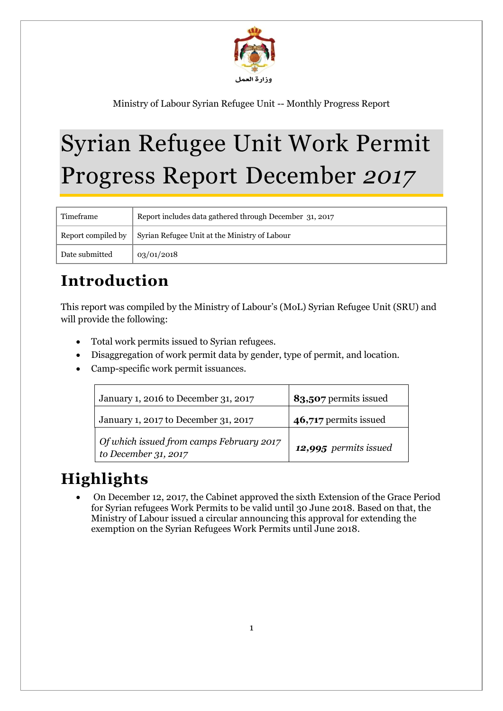

# Syrian Refugee Unit Work Permit Progress Report December *2017*

| Timeframe      | Report includes data gathered through December 31, 2017                      |  |
|----------------|------------------------------------------------------------------------------|--|
|                | Report compiled by $\parallel$ Syrian Refugee Unit at the Ministry of Labour |  |
| Date submitted | 03/01/2018                                                                   |  |

# **Introduction**

This report was compiled by the Ministry of Labour's (MoL) Syrian Refugee Unit (SRU) and will provide the following:

- Total work permits issued to Syrian refugees.
- Disaggregation of work permit data by gender, type of permit, and location.
- Camp-specific work permit issuances.

| January 1, 2016 to December 31, 2017                             | 83,507 permits issued |
|------------------------------------------------------------------|-----------------------|
| January 1, 2017 to December 31, 2017                             | 46,717 permits issued |
| Of which issued from camps February 2017<br>to December 31, 2017 | 12,995 permits issued |

# **Highlights**

 On December 12, 2017, the Cabinet approved the sixth Extension of the Grace Period for Syrian refugees Work Permits to be valid until 30 June 2018. Based on that, the Ministry of Labour issued a circular announcing this approval for extending the exemption on the Syrian Refugees Work Permits until June 2018.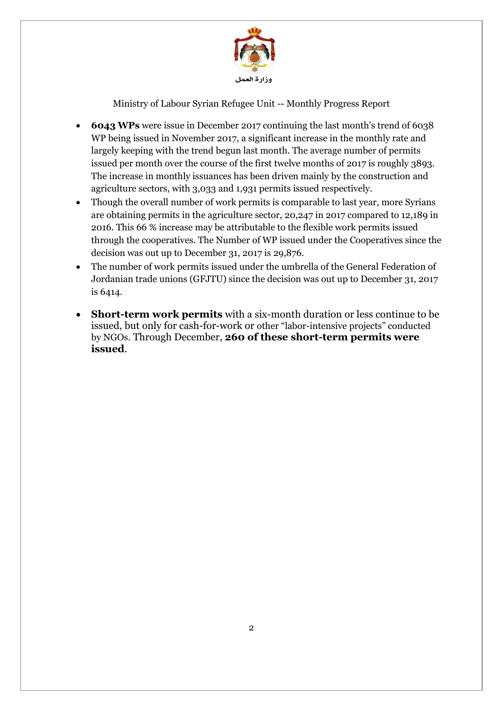

- **6043 WPs** were issue in December 2017 continuing the last month's trend of 6038 WP being issued in November 2017, a significant increase in the monthly rate and largely keeping with the trend begun last month. The average number of permits issued per month over the course of the first twelve months of 2017 is roughly 3893. The increase in monthly issuances has been driven mainly by the construction and agriculture sectors, with 3,033 and 1,931 permits issued respectively.
- Though the overall number of work permits is comparable to last year, more Syrians are obtaining permits in the agriculture sector, 20,247 in 2017 compared to 12,189 in 2016. This 66 % increase may be attributable to the flexible work permits issued through the cooperatives. The Number of WP issued under the Cooperatives since the decision was out up to December 31, 2017 is 29,876.
- The number of work permits issued under the umbrella of the General Federation of Jordanian trade unions (GFJTU) since the decision was out up to December 31, 2017 is 6414.
- **Short-term work permits** with a six-month duration or less continue to be issued, but only for cash-for-work or other "labor-intensive projects" conducted by NGOs. Through December, **260 of these short-term permits were issued**.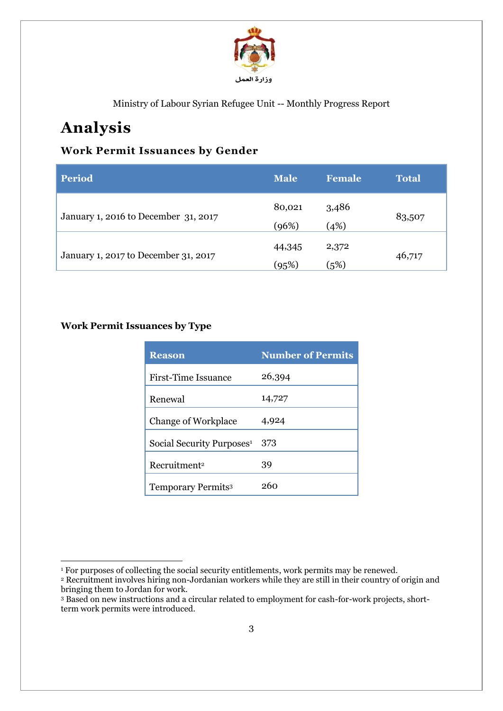

# **Analysis**

### **Work Permit Issuances by Gender**

| <b>Period</b>                        | <b>Male</b>     | <b>Female</b> | <b>Total</b> |
|--------------------------------------|-----------------|---------------|--------------|
| January 1, 2016 to December 31, 2017 | 80,021<br>(96%) | 3,486<br>(4%) | 83,507       |
| January 1, 2017 to December 31, 2017 | 44,345<br>(95%) | 2,372<br>(5%) | 46,717       |

#### **Work Permit Issuances by Type**

| <b>Reason</b>                         | <b>Number of Permits</b> |
|---------------------------------------|--------------------------|
| <b>First-Time Issuance</b>            | 26,394                   |
| Renewal                               | 14,727                   |
| <b>Change of Workplace</b>            | 4,924                    |
| Social Security Purposes <sup>1</sup> | 373                      |
| Recruitment <sup>2</sup>              | 39                       |
| <b>Temporary Permits3</b>             | 260                      |

 $\overline{a}$ <sup>1</sup> For purposes of collecting the social security entitlements, work permits may be renewed.

<sup>2</sup> Recruitment involves hiring non-Jordanian workers while they are still in their country of origin and bringing them to Jordan for work.

<sup>3</sup> Based on new instructions and a circular related to employment for cash-for-work projects, shortterm work permits were introduced.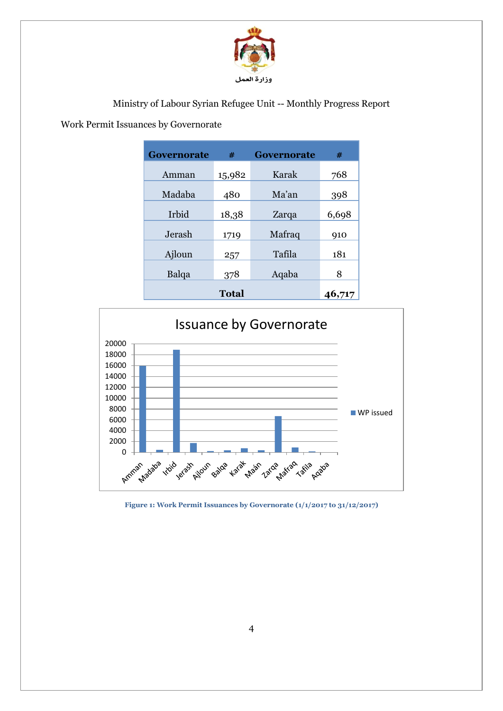

#### Work Permit Issuances by Governorate

| <b>Governorate</b> | #      | <b>Governorate</b> | #     |
|--------------------|--------|--------------------|-------|
| Amman              | 15,982 | Karak              | 768   |
| Madaba             | 480    | Ma'an              | 398   |
|                    |        |                    |       |
| Irbid              | 18,38  | Zarqa              | 6,698 |
| Jerash             | 1719   | Mafraq             | 910   |
| Ajloun             | 257    | Tafila             | 181   |
| Balqa              | 378    | Aqaba              | 8     |
|                    | 46,717 |                    |       |



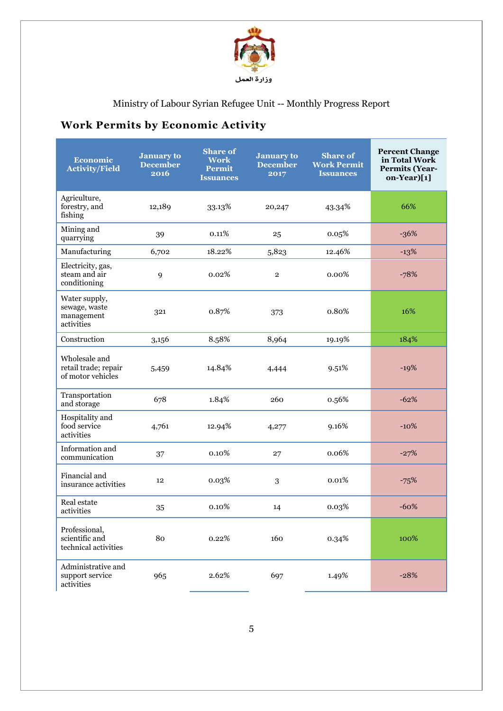

## **Work Permits by Economic Activity**

| Economic<br><b>Activity/Field</b>                          | <b>January to</b><br><b>December</b><br>2016 | <b>Share of</b><br>Work<br><b>Permit</b><br><b>Issuances</b> | <b>January to</b><br><b>December</b><br>2017 | <b>Share of</b><br><b>Work Permit</b><br><b>Issuances</b> | <b>Percent Change</b><br>in Total Work<br><b>Permits (Year-</b><br>on-Year)[1] |
|------------------------------------------------------------|----------------------------------------------|--------------------------------------------------------------|----------------------------------------------|-----------------------------------------------------------|--------------------------------------------------------------------------------|
| Agriculture,<br>forestry, and<br>fishing                   | 12,189                                       | 33.13%                                                       | 20,247                                       | 43.34%                                                    | 66%                                                                            |
| Mining and<br>quarrying                                    | 39                                           | 0.11%                                                        | 25                                           | 0.05%                                                     | $-36%$                                                                         |
| Manufacturing                                              | 6,702                                        | 18.22%                                                       | 5,823                                        | 12.46%                                                    | $-13%$                                                                         |
| Electricity, gas,<br>steam and air<br>conditioning         | 9                                            | 0.02%                                                        | $\overline{2}$                               | $0.00\%$                                                  | $-78%$                                                                         |
| Water supply,<br>sewage, waste<br>management<br>activities | 321                                          | 0.87%                                                        | 373                                          | 0.80%                                                     | 16%                                                                            |
| Construction                                               | 3,156                                        | 8.58%                                                        | 8,964                                        | 19.19%                                                    | 184%                                                                           |
| Wholesale and<br>retail trade; repair<br>of motor vehicles | 5,459                                        | 14.84%                                                       | 4,444                                        | 9.51%                                                     | $-19%$                                                                         |
| Transportation<br>and storage                              | 678                                          | 1.84%                                                        | 260                                          | 0.56%                                                     | $-62%$                                                                         |
| Hospitality and<br>food service<br>activities              | 4,761                                        | 12.94%                                                       | 4,277                                        | 9.16%                                                     | $-10\%$                                                                        |
| Information and<br>communication                           | 37                                           | 0.10%                                                        | 27                                           | 0.06%                                                     | $-27%$                                                                         |
| Financial and<br>insurance activities                      | 12                                           | 0.03%                                                        | 3                                            | 0.01%                                                     | $-75%$                                                                         |
| Real estate<br>activities                                  | 35                                           | 0.10%                                                        | 14                                           | 0.03%                                                     | $-60%$                                                                         |
| Professional,<br>scientific and<br>technical activities    | 80                                           | 0.22%                                                        | 160                                          | 0.34%                                                     | 100%                                                                           |
| Administrative and<br>support service<br>activities        | 965                                          | 2.62%                                                        | 697                                          | 1.49%                                                     | $-28%$                                                                         |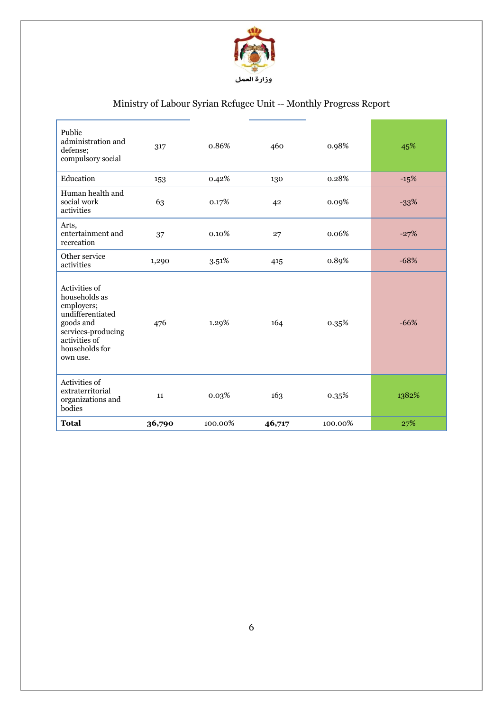

| Public<br>administration and<br>defense;<br>compulsory social                                                                                      | 317    | 0.86%   | 460    | 0.98%   | 45%    |
|----------------------------------------------------------------------------------------------------------------------------------------------------|--------|---------|--------|---------|--------|
| Education                                                                                                                                          | 153    | 0.42%   | 130    | 0.28%   | $-15%$ |
| Human health and<br>social work<br>activities                                                                                                      | 63     | 0.17%   | 42     | 0.09%   | $-33%$ |
| Arts,<br>entertainment and<br>recreation                                                                                                           | 37     | 0.10%   | 27     | 0.06%   | $-27%$ |
| Other service<br>activities                                                                                                                        | 1,290  | 3.51%   | 415    | 0.89%   | $-68%$ |
| Activities of<br>households as<br>employers;<br>undifferentiated<br>goods and<br>services-producing<br>activities of<br>households for<br>own use. | 476    | 1.29%   | 164    | 0.35%   | $-66%$ |
| Activities of<br>extraterritorial<br>organizations and<br>bodies                                                                                   | 11     | 0.03%   | 163    | 0.35%   | 1382%  |
| <b>Total</b>                                                                                                                                       | 36,790 | 100.00% | 46,717 | 100.00% | 27%    |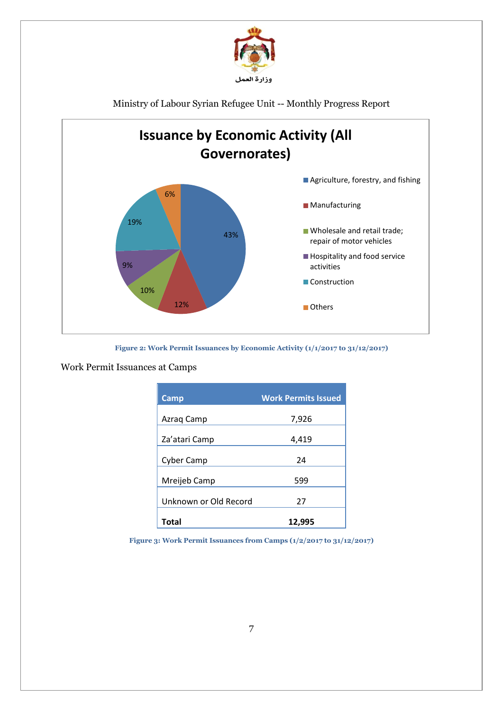



**Figure 2: Work Permit Issuances by Economic Activity (1/1/2017 to 31/12/2017)**

Work Permit Issuances at Camps

| Camp                  | <b>Work Permits Issued</b> |
|-----------------------|----------------------------|
| Azraq Camp            | 7,926                      |
| Za'atari Camp         | 4,419                      |
| <b>Cyber Camp</b>     | 24                         |
| Mreijeb Camp          | 599                        |
| Unknown or Old Record | 27                         |
| Total                 | 12,995                     |

**Figure 3: Work Permit Issuances from Camps (1/2/2017 to 31/12/2017)**